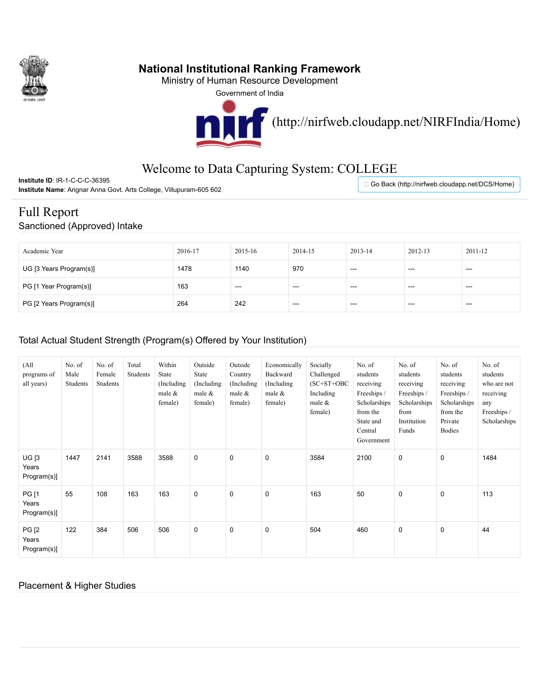

## National Institutional Ranking Framework

Ministry of Human Resource Development

Government of India



[\(http://nirfweb.cloudapp.net/NIRFIndia/Home\)](http://nirfweb.cloudapp.net/NIRFIndia/Home)

## Welcome to Data Capturing System: COLLEGE

Institute ID: IR-1-C-C-C-36395 Institute Name: Arignar Anna Govt. Arts College, Villupuram-605 602

□ [Go Back \(http://nirfweb.cloudapp.net/DCS/Home\)](http://nirfweb.cloudapp.net/DCS/Home)

## Full Report Sanctioned (Approved) Intake

| Academic Year           | 2016-17 | 2015-16 | 2014-15 | 2013-14 | 2012-13 | 2011-12           |
|-------------------------|---------|---------|---------|---------|---------|-------------------|
| UG [3 Years Program(s)] | 1478    | 1140    | 970     | $---$   | $--$    | $\qquad \qquad -$ |
| PG [1 Year Program(s)]  | 163     | ---     | $---$   | ---     | ---     | $---$             |
| PG [2 Years Program(s)] | 264     | 242     | $---$   | ----    | ---     | $--$              |

## Total Actual Student Strength (Program(s) Offered by Your Institution)

| (A <sup>II</sup> )<br>programs of<br>all years) | No. of<br>Male<br>Students | No. of<br>Female<br>Students | Total<br>Students | Within<br><b>State</b><br>(Including)<br>male $\&$<br>female) | Outside<br>State<br>(Including)<br>male $\&$<br>female) | Outside<br>Country<br>(Including)<br>male $&$<br>female) | Economically<br>Backward<br>(Including)<br>male &<br>female) | Socially<br>Challenged<br>$(SC+ST+OBC$<br>Including<br>male $\&$<br>female) | No. of<br>students<br>receiving<br>Freeships /<br>Scholarships<br>from the<br>State and<br>Central<br>Government | No. of<br>students<br>receiving<br>Freeships /<br>Scholarships<br>from<br>Institution<br>Funds | No. of<br>students<br>receiving<br>Freeships /<br>Scholarships<br>from the<br>Private<br><b>Bodies</b> | No. of<br>students<br>who are not<br>receiving<br>any<br>Freeships /<br>Scholarships |
|-------------------------------------------------|----------------------------|------------------------------|-------------------|---------------------------------------------------------------|---------------------------------------------------------|----------------------------------------------------------|--------------------------------------------------------------|-----------------------------------------------------------------------------|------------------------------------------------------------------------------------------------------------------|------------------------------------------------------------------------------------------------|--------------------------------------------------------------------------------------------------------|--------------------------------------------------------------------------------------|
| <b>UG [3</b><br>Years<br>Program(s)]            | 1447                       | 2141                         | 3588              | 3588                                                          | 0                                                       | 0                                                        | 0                                                            | 3584                                                                        | 2100                                                                                                             | $\mathbf 0$                                                                                    | 0                                                                                                      | 1484                                                                                 |
| PG [1<br>Years<br>Program(s)]                   | 55                         | 108                          | 163               | 163                                                           | 0                                                       | $\mathbf 0$                                              | $\mathbf 0$                                                  | 163                                                                         | 50                                                                                                               | 0                                                                                              | $\mathbf 0$                                                                                            | 113                                                                                  |
| <b>PG [2</b><br>Years<br>Program(s)]            | 122                        | 384                          | 506               | 506                                                           | 0                                                       | $\mathbf 0$                                              | 0                                                            | 504                                                                         | 460                                                                                                              | $\mathbf 0$                                                                                    | 0                                                                                                      | 44                                                                                   |

### Placement & Higher Studies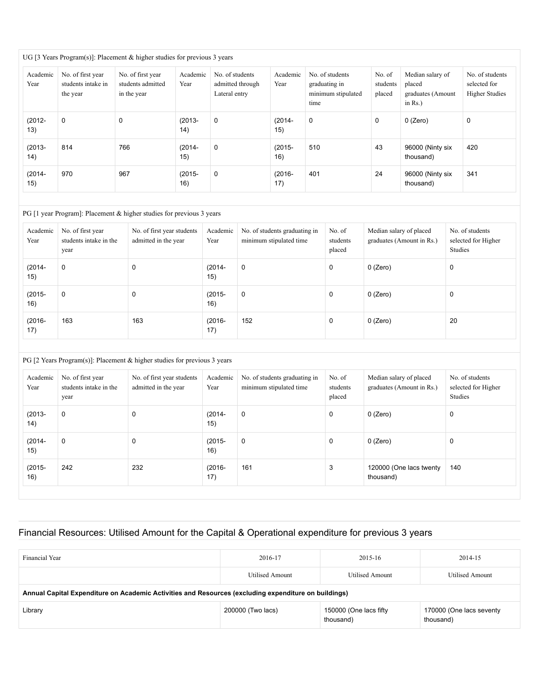#### UG [3 Years Program(s)]: Placement & higher studies for previous 3 years

| Academic<br>Year | No. of first year<br>students intake in<br>the year | No. of first year<br>students admitted<br>in the year | Academic<br>Year  | No. of students<br>admitted through<br>Lateral entry | Academic<br>Year | No. of students<br>graduating in<br>minimum stipulated<br>time | No. of<br>students<br>placed | Median salary of<br>placed<br>graduates (Amount<br>in $Rs.$ ) | No. of students<br>selected for<br><b>Higher Studies</b> |
|------------------|-----------------------------------------------------|-------------------------------------------------------|-------------------|------------------------------------------------------|------------------|----------------------------------------------------------------|------------------------------|---------------------------------------------------------------|----------------------------------------------------------|
| $(2012 -$<br>13) | 0                                                   | 0                                                     | $(2013 -$<br>(14) | $\mathbf 0$                                          | $(2014 -$<br>15) | 0                                                              | 0                            | 0 (Zero)                                                      | 0                                                        |
| $(2013 -$<br>14) | 814                                                 | 766                                                   | $(2014 -$<br>15)  | $\mathbf 0$                                          | $(2015 -$<br>16) | 510                                                            | 43                           | 96000 (Ninty six<br>thousand)                                 | 420                                                      |
| $(2014 -$<br>15) | 970                                                 | 967                                                   | $(2015 -$<br>16)  | $\mathbf 0$                                          | $(2016 -$<br>17) | 401                                                            | 24                           | 96000 (Ninty six<br>thousand)                                 | 341                                                      |

| PG [1 year Program]: Placement & higher studies for previous 3 years |  |  |
|----------------------------------------------------------------------|--|--|
|----------------------------------------------------------------------|--|--|

| Academic<br>Year | No. of first year<br>students intake in the<br>year | No. of first year students<br>admitted in the year | Academic<br>Year | No. of students graduating in<br>minimum stipulated time | No. of<br>students<br>placed | Median salary of placed<br>graduates (Amount in Rs.) | No. of students<br>selected for Higher<br>Studies |
|------------------|-----------------------------------------------------|----------------------------------------------------|------------------|----------------------------------------------------------|------------------------------|------------------------------------------------------|---------------------------------------------------|
| $(2014 -$<br>15) | $\mathbf 0$                                         | 0                                                  | $(2014 -$<br>15) | $\mathbf 0$                                              | 0                            | 0 (Zero)                                             | 0                                                 |
| $(2015 -$<br>16) | 0                                                   | 0                                                  | $(2015 -$<br>16) | 0                                                        | 0                            | 0 (Zero)                                             | 0                                                 |
| $(2016 -$<br>17) | 163                                                 | 163                                                | $(2016 -$<br>17) | 152                                                      | 0                            | 0 (Zero)                                             | 20                                                |

#### PG [2 Years Program(s)]: Placement & higher studies for previous 3 years

| Academic<br>Year | No. of first year<br>students intake in the<br>year | No. of first year students<br>admitted in the year | Academic<br>Year | No. of students graduating in<br>minimum stipulated time | No. of<br>students<br>placed | Median salary of placed<br>graduates (Amount in Rs.) | No. of students<br>selected for Higher<br><b>Studies</b> |
|------------------|-----------------------------------------------------|----------------------------------------------------|------------------|----------------------------------------------------------|------------------------------|------------------------------------------------------|----------------------------------------------------------|
| $(2013 -$<br>14) | 0                                                   | 0                                                  | $(2014 -$<br>15) | $\mathbf 0$                                              | 0                            | $0$ (Zero)                                           | 0                                                        |
| $(2014 -$<br>15) | $\mathbf 0$                                         | 0                                                  | $(2015 -$<br>16) | $\mathbf 0$                                              | 0                            | $0$ (Zero)                                           | 0                                                        |
| $(2015 -$<br>16) | 242                                                 | 232                                                | $(2016 -$<br>17) | 161                                                      | 3                            | 120000 (One lacs twenty<br>thousand)                 | 140                                                      |

### Financial Resources: Utilised Amount for the Capital & Operational expenditure for previous 3 years

| Financial Year                                                                                       | 2016-17                | 2015-16                             | 2014-15                               |
|------------------------------------------------------------------------------------------------------|------------------------|-------------------------------------|---------------------------------------|
|                                                                                                      | <b>Utilised Amount</b> | Utilised Amount                     | Utilised Amount                       |
| Annual Capital Expenditure on Academic Activities and Resources (excluding expenditure on buildings) |                        |                                     |                                       |
| Library                                                                                              | 200000 (Two lacs)      | 150000 (One lacs fifty<br>thousand) | 170000 (One lacs seventy<br>thousand) |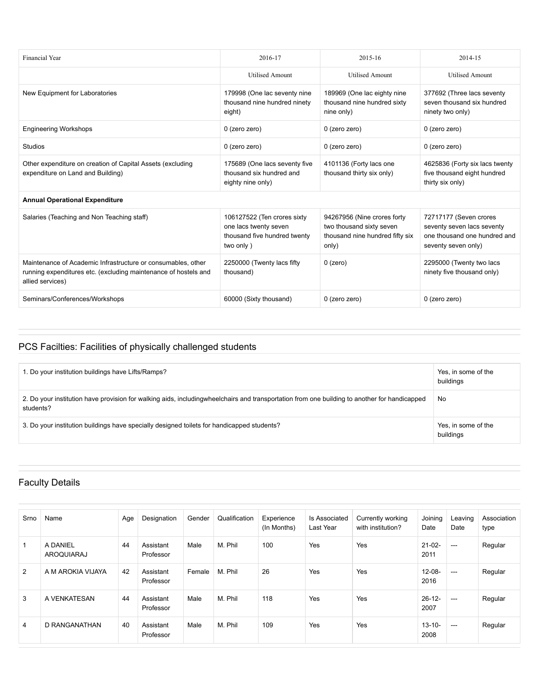| <b>Financial Year</b>                                                                                                                               | 2016-17                                                                                           | 2015-16                                                                                             | 2014-15                                                                                                     |
|-----------------------------------------------------------------------------------------------------------------------------------------------------|---------------------------------------------------------------------------------------------------|-----------------------------------------------------------------------------------------------------|-------------------------------------------------------------------------------------------------------------|
|                                                                                                                                                     | <b>Utilised Amount</b>                                                                            | <b>Utilised Amount</b>                                                                              | <b>Utilised Amount</b>                                                                                      |
| New Equipment for Laboratories                                                                                                                      | 179998 (One lac seventy nine<br>thousand nine hundred ninety<br>eight)                            | 189969 (One lac eighty nine<br>thousand nine hundred sixty<br>nine only)                            | 377692 (Three lacs seventy<br>seven thousand six hundred<br>ninety two only)                                |
| <b>Engineering Workshops</b>                                                                                                                        | 0 (zero zero)                                                                                     | 0 (zero zero)                                                                                       | 0 (zero zero)                                                                                               |
| <b>Studios</b>                                                                                                                                      | 0 (zero zero)                                                                                     | 0 (zero zero)                                                                                       | 0 (zero zero)                                                                                               |
| Other expenditure on creation of Capital Assets (excluding<br>expenditure on Land and Building)                                                     | 175689 (One lacs seventy five<br>thousand six hundred and<br>eighty nine only)                    | 4101136 (Forty lacs one<br>thousand thirty six only)                                                | 4625836 (Forty six lacs twenty<br>five thousand eight hundred<br>thirty six only)                           |
| <b>Annual Operational Expenditure</b>                                                                                                               |                                                                                                   |                                                                                                     |                                                                                                             |
| Salaries (Teaching and Non Teaching staff)                                                                                                          | 106127522 (Ten crores sixty<br>one lacs twenty seven<br>thousand five hundred twenty<br>two only) | 94267956 (Nine crores forty<br>two thousand sixty seven<br>thousand nine hundred fifty six<br>only) | 72717177 (Seven crores<br>seventy seven lacs seventy<br>one thousand one hundred and<br>seventy seven only) |
| Maintenance of Academic Infrastructure or consumables, other<br>running expenditures etc. (excluding maintenance of hostels and<br>allied services) | 2250000 (Twenty lacs fifty<br>thousand)                                                           | $0$ (zero)                                                                                          | 2295000 (Twenty two lacs<br>ninety five thousand only)                                                      |
| Seminars/Conferences/Workshops                                                                                                                      | 60000 (Sixty thousand)                                                                            | 0 (zero zero)                                                                                       | 0 (zero zero)                                                                                               |

# PCS Facilties: Facilities of physically challenged students

| 1. Do your institution buildings have Lifts/Ramps?                                                                                                        | Yes, in some of the<br>buildings |
|-----------------------------------------------------------------------------------------------------------------------------------------------------------|----------------------------------|
| 2. Do your institution have provision for walking aids, includingwheelchairs and transportation from one building to another for handicapped<br>students? | No                               |
| 3. Do your institution buildings have specially designed toilets for handicapped students?                                                                | Yes, in some of the<br>buildings |

# Faculty Details

| Srno           | Name                          | Age | Designation            | Gender | Qualification | Experience<br>(In Months) | Is Associated<br>Last Year | Currently working<br>with institution? | Joining<br>Date     | Leaving<br>Date          | Association<br>type |
|----------------|-------------------------------|-----|------------------------|--------|---------------|---------------------------|----------------------------|----------------------------------------|---------------------|--------------------------|---------------------|
|                | A DANIEL<br><b>AROQUIARAJ</b> | 44  | Assistant<br>Professor | Male   | M. Phil       | 100                       | Yes                        | Yes                                    | $21-02-$<br>2011    | $\sim$ $\sim$            | Regular             |
| $\overline{2}$ | A M AROKIA VIJAYA             | 42  | Assistant<br>Professor | Female | M. Phil       | 26                        | Yes                        | Yes                                    | $12 - 08 -$<br>2016 | $\sim$ $\sim$            | Regular             |
| 3              | A VENKATESAN                  | 44  | Assistant<br>Professor | Male   | M. Phil       | 118                       | Yes                        | Yes                                    | $26-12-$<br>2007    | $\overline{\phantom{a}}$ | Regular             |
| 4              | D RANGANATHAN                 | 40  | Assistant<br>Professor | Male   | M. Phil       | 109                       | Yes                        | Yes                                    | $13 - 10 -$<br>2008 | $\sim$ $\sim$            | Regular             |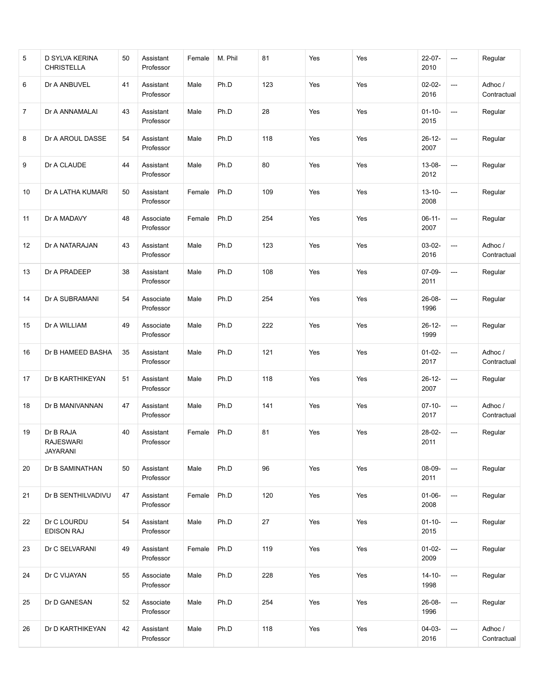| 5              | D SYLVA KERINA<br><b>CHRISTELLA</b>              | 50 | Assistant<br>Professor | Female | M. Phil | 81  | Yes | Yes | $22 - 07 -$<br>2010 | $\sim$                   | Regular                |
|----------------|--------------------------------------------------|----|------------------------|--------|---------|-----|-----|-----|---------------------|--------------------------|------------------------|
| 6              | Dr A ANBUVEL                                     | 41 | Assistant<br>Professor | Male   | Ph.D    | 123 | Yes | Yes | $02 - 02 -$<br>2016 | ---                      | Adhoc /<br>Contractual |
| $\overline{7}$ | Dr A ANNAMALAI                                   | 43 | Assistant<br>Professor | Male   | Ph.D    | 28  | Yes | Yes | $01 - 10 -$<br>2015 | $\overline{\phantom{a}}$ | Regular                |
| 8              | Dr A AROUL DASSE                                 | 54 | Assistant<br>Professor | Male   | Ph.D    | 118 | Yes | Yes | $26 - 12 -$<br>2007 | $\sim$                   | Regular                |
| 9              | Dr A CLAUDE                                      | 44 | Assistant<br>Professor | Male   | Ph.D    | 80  | Yes | Yes | 13-08-<br>2012      | ---                      | Regular                |
| 10             | Dr A LATHA KUMARI                                | 50 | Assistant<br>Professor | Female | Ph.D    | 109 | Yes | Yes | $13 - 10 -$<br>2008 | ---                      | Regular                |
| 11             | Dr A MADAVY                                      | 48 | Associate<br>Professor | Female | Ph.D    | 254 | Yes | Yes | $06-11-$<br>2007    | ---                      | Regular                |
| 12             | Dr A NATARAJAN                                   | 43 | Assistant<br>Professor | Male   | Ph.D    | 123 | Yes | Yes | $03-02-$<br>2016    | ---                      | Adhoc /<br>Contractual |
| 13             | Dr A PRADEEP                                     | 38 | Assistant<br>Professor | Male   | Ph.D    | 108 | Yes | Yes | $07-09-$<br>2011    | ---                      | Regular                |
| 14             | Dr A SUBRAMANI                                   | 54 | Associate<br>Professor | Male   | Ph.D    | 254 | Yes | Yes | 26-08-<br>1996      | ---                      | Regular                |
| 15             | Dr A WILLIAM                                     | 49 | Associate<br>Professor | Male   | Ph.D    | 222 | Yes | Yes | $26 - 12 -$<br>1999 | ---                      | Regular                |
| 16             | Dr B HAMEED BASHA                                | 35 | Assistant<br>Professor | Male   | Ph.D    | 121 | Yes | Yes | $01-02-$<br>2017    | $\sim$                   | Adhoc /<br>Contractual |
| 17             | Dr B KARTHIKEYAN                                 | 51 | Assistant<br>Professor | Male   | Ph.D    | 118 | Yes | Yes | $26 - 12 -$<br>2007 | $\sim$                   | Regular                |
| 18             | Dr B MANIVANNAN                                  | 47 | Assistant<br>Professor | Male   | Ph.D    | 141 | Yes | Yes | $07 - 10 -$<br>2017 | $\overline{\phantom{a}}$ | Adhoc /<br>Contractual |
| 19             | Dr B RAJA<br><b>RAJESWARI</b><br><b>JAYARANI</b> | 40 | Assistant<br>Professor | Female | Ph.D    | 81  | Yes | Yes | 28-02-<br>2011      | $\overline{\phantom{a}}$ | Regular                |
| 20             | Dr B SAMINATHAN                                  | 50 | Assistant<br>Professor | Male   | Ph.D    | 96  | Yes | Yes | 08-09-<br>2011      | $\sim$                   | Regular                |
| 21             | Dr B SENTHILVADIVU                               | 47 | Assistant<br>Professor | Female | Ph.D    | 120 | Yes | Yes | $01 - 06 -$<br>2008 | $\frac{1}{2}$            | Regular                |
| 22             | Dr C LOURDU<br><b>EDISON RAJ</b>                 | 54 | Assistant<br>Professor | Male   | Ph.D    | 27  | Yes | Yes | $01 - 10 -$<br>2015 | $\overline{\phantom{a}}$ | Regular                |
| 23             | Dr C SELVARANI                                   | 49 | Assistant<br>Professor | Female | Ph.D    | 119 | Yes | Yes | $01-02-$<br>2009    | $\frac{1}{2}$            | Regular                |
| 24             | Dr C VIJAYAN                                     | 55 | Associate<br>Professor | Male   | Ph.D    | 228 | Yes | Yes | $14 - 10 -$<br>1998 | $\frac{1}{2}$            | Regular                |
| 25             | Dr D GANESAN                                     | 52 | Associate<br>Professor | Male   | Ph.D    | 254 | Yes | Yes | 26-08-<br>1996      | $\overline{a}$           | Regular                |
| 26             | Dr D KARTHIKEYAN                                 | 42 | Assistant<br>Professor | Male   | Ph.D    | 118 | Yes | Yes | $04-03-$<br>2016    | ---                      | Adhoc /<br>Contractual |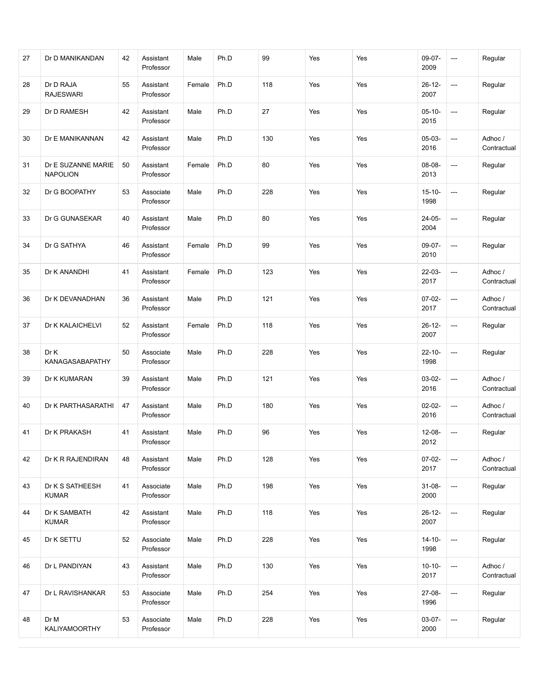| 27 | Dr D MANIKANDAN                       | 42 | Assistant<br>Professor | Male   | Ph.D | 99  | Yes | Yes | $09-07-$<br>2009    | $\sim$                   | Regular                |
|----|---------------------------------------|----|------------------------|--------|------|-----|-----|-----|---------------------|--------------------------|------------------------|
| 28 | Dr D RAJA                             | 55 | Assistant              | Female | Ph.D | 118 | Yes | Yes | $26 - 12 -$         | ---                      | Regular                |
|    | <b>RAJESWARI</b>                      |    | Professor              |        |      |     |     |     | 2007                |                          |                        |
| 29 | Dr D RAMESH                           | 42 | Assistant<br>Professor | Male   | Ph.D | 27  | Yes | Yes | $05 - 10 -$<br>2015 | ---                      | Regular                |
| 30 | Dr E MANIKANNAN                       | 42 | Assistant<br>Professor | Male   | Ph.D | 130 | Yes | Yes | 05-03-<br>2016      | $\hspace{0.05cm} \ldots$ | Adhoc /<br>Contractual |
| 31 | Dr E SUZANNE MARIE<br><b>NAPOLION</b> | 50 | Assistant<br>Professor | Female | Ph.D | 80  | Yes | Yes | 08-08-<br>2013      | ---                      | Regular                |
| 32 | Dr G BOOPATHY                         | 53 | Associate<br>Professor | Male   | Ph.D | 228 | Yes | Yes | $15 - 10 -$<br>1998 | $\sim$                   | Regular                |
| 33 | Dr G GUNASEKAR                        | 40 | Assistant<br>Professor | Male   | Ph.D | 80  | Yes | Yes | 24-05-<br>2004      | $\overline{\phantom{a}}$ | Regular                |
| 34 | Dr G SATHYA                           | 46 | Assistant<br>Professor | Female | Ph.D | 99  | Yes | Yes | 09-07-<br>2010      | $\overline{\phantom{a}}$ | Regular                |
| 35 | Dr K ANANDHI                          | 41 | Assistant<br>Professor | Female | Ph.D | 123 | Yes | Yes | 22-03-<br>2017      | $\overline{\phantom{a}}$ | Adhoc /<br>Contractual |
| 36 | Dr K DEVANADHAN                       | 36 | Assistant<br>Professor | Male   | Ph.D | 121 | Yes | Yes | $07-02-$<br>2017    | $\overline{\phantom{a}}$ | Adhoc /<br>Contractual |
| 37 | Dr K KALAICHELVI                      | 52 | Assistant<br>Professor | Female | Ph.D | 118 | Yes | Yes | $26 - 12 -$<br>2007 | $\hspace{0.05cm} \ldots$ | Regular                |
| 38 | Dr K<br>KANAGASABAPATHY               | 50 | Associate<br>Professor | Male   | Ph.D | 228 | Yes | Yes | $22 - 10 -$<br>1998 | $\cdots$                 | Regular                |
| 39 | Dr K KUMARAN                          | 39 | Assistant<br>Professor | Male   | Ph.D | 121 | Yes | Yes | $03-02-$<br>2016    | $\hspace{0.05cm} \ldots$ | Adhoc /<br>Contractual |
| 40 | Dr K PARTHASARATHI                    | 47 | Assistant<br>Professor | Male   | Ph.D | 180 | Yes | Yes | $02 - 02 -$<br>2016 | $\overline{\phantom{a}}$ | Adhoc /<br>Contractual |
| 41 | Dr K PRAKASH                          | 41 | Assistant<br>Professor | Male   | Ph.D | 96  | Yes | Yes | 12-08-<br>2012      | $\overline{\phantom{a}}$ | Regular                |
| 42 | Dr K R RAJENDIRAN                     | 48 | Assistant<br>Professor | Male   | Ph.D | 128 | Yes | Yes | $07-02-$<br>2017    | ---                      | Adhoc /<br>Contractual |
| 43 | Dr K S SATHEESH<br><b>KUMAR</b>       | 41 | Associate<br>Professor | Male   | Ph.D | 198 | Yes | Yes | $31-08-$<br>2000    | $\hspace{0.05cm} \ldots$ | Regular                |
| 44 | Dr K SAMBATH<br><b>KUMAR</b>          | 42 | Assistant<br>Professor | Male   | Ph.D | 118 | Yes | Yes | $26 - 12 -$<br>2007 | $\hspace{0.05cm} \ldots$ | Regular                |
| 45 | Dr K SETTU                            | 52 | Associate<br>Professor | Male   | Ph.D | 228 | Yes | Yes | $14 - 10 -$<br>1998 | $\overline{\phantom{a}}$ | Regular                |
| 46 | Dr L PANDIYAN                         | 43 | Assistant<br>Professor | Male   | Ph.D | 130 | Yes | Yes | $10-10-$<br>2017    | ---                      | Adhoc /<br>Contractual |
| 47 | Dr L RAVISHANKAR                      | 53 | Associate<br>Professor | Male   | Ph.D | 254 | Yes | Yes | 27-08-<br>1996      | $\hspace{0.05cm} \ldots$ | Regular                |
| 48 | Dr M<br>KALIYAMOORTHY                 | 53 | Associate<br>Professor | Male   | Ph.D | 228 | Yes | Yes | $03-07-$<br>2000    | $\cdots$                 | Regular                |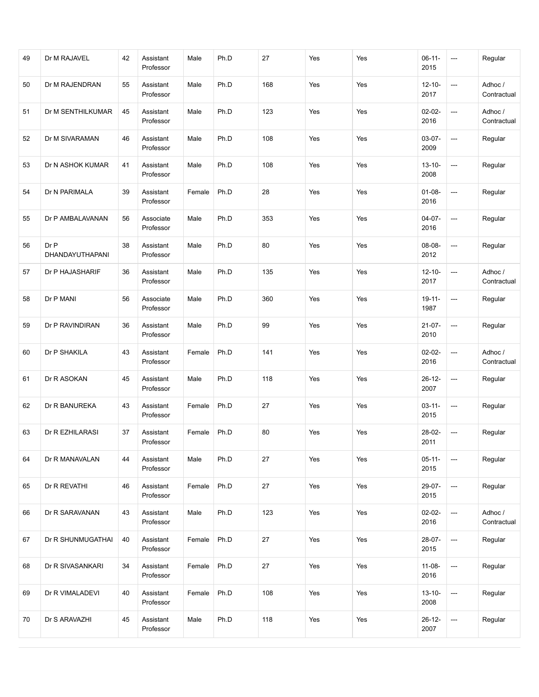| 49 | Dr M RAJAVEL            | 42 | Assistant<br>Professor | Male   | Ph.D | 27  | Yes | Yes | $06-11-$<br>2015    | $\sim$                                             | Regular                |  |
|----|-------------------------|----|------------------------|--------|------|-----|-----|-----|---------------------|----------------------------------------------------|------------------------|--|
| 50 | Dr M RAJENDRAN          | 55 | Assistant<br>Professor | Male   | Ph.D | 168 | Yes | Yes | $12 - 10 -$<br>2017 | Adhoc /<br>---<br>Contractual                      |                        |  |
| 51 | Dr M SENTHILKUMAR       | 45 | Assistant<br>Professor | Male   | Ph.D | 123 | Yes | Yes | $02 - 02 -$<br>2016 | $\overline{\phantom{a}}$                           | Adhoc/<br>Contractual  |  |
| 52 | Dr M SIVARAMAN          | 46 | Assistant<br>Professor | Male   | Ph.D | 108 | Yes | Yes | $03-07-$<br>2009    | $\overline{\phantom{a}}$                           | Regular                |  |
| 53 | Dr N ASHOK KUMAR        | 41 | Assistant<br>Professor | Male   | Ph.D | 108 | Yes | Yes | $13 - 10 -$<br>2008 | $\sim$                                             | Regular                |  |
| 54 | Dr N PARIMALA           | 39 | Assistant<br>Professor | Female | Ph.D | 28  | Yes | Yes | $01 - 08 -$<br>2016 | $\overline{\phantom{a}}$                           | Regular                |  |
| 55 | Dr P AMBALAVANAN        | 56 | Associate<br>Professor | Male   | Ph.D | 353 | Yes | Yes | $04-07-$<br>2016    | $\overline{\phantom{a}}$                           | Regular                |  |
| 56 | Dr P<br>DHANDAYUTHAPANI | 38 | Assistant<br>Professor | Male   | Ph.D | 80  | Yes | Yes | 08-08-<br>2012      | $\overline{\phantom{a}}$                           | Regular                |  |
| 57 | Dr P HAJASHARIF         | 36 | Assistant<br>Professor | Male   | Ph.D | 135 | Yes | Yes | $12 - 10 -$<br>2017 | Adhoc /<br>$\overline{\phantom{a}}$<br>Contractual |                        |  |
| 58 | Dr P MANI               | 56 | Associate<br>Professor | Male   | Ph.D | 360 | Yes | Yes | $19 - 11 -$<br>1987 | $\overline{\phantom{a}}$                           | Regular                |  |
| 59 | Dr P RAVINDIRAN         | 36 | Assistant<br>Professor | Male   | Ph.D | 99  | Yes | Yes | $21-07-$<br>2010    | $\hspace{0.05cm} \ldots$                           | Regular                |  |
| 60 | Dr P SHAKILA            | 43 | Assistant<br>Professor | Female | Ph.D | 141 | Yes | Yes | $02 - 02 -$<br>2016 | ---                                                | Adhoc /<br>Contractual |  |
| 61 | Dr R ASOKAN             | 45 | Assistant<br>Professor | Male   | Ph.D | 118 | Yes | Yes | $26 - 12 -$<br>2007 | $\hspace{0.05cm} \ldots$                           | Regular                |  |
| 62 | Dr R BANUREKA           | 43 | Assistant<br>Professor | Female | Ph.D | 27  | Yes | Yes | $03 - 11 -$<br>2015 | $\overline{\phantom{a}}$                           | Regular                |  |
| 63 | Dr R EZHILARASI         | 37 | Assistant<br>Professor | Female | Ph.D | 80  | Yes | Yes | 28-02-<br>2011      | $\hspace{0.05cm} \ldots$                           | Regular                |  |
| 64 | Dr R MANAVALAN          | 44 | Assistant<br>Professor | Male   | Ph.D | 27  | Yes | Yes | $05 - 11 -$<br>2015 | Regular<br>---                                     |                        |  |
| 65 | Dr R REVATHI            | 46 | Assistant<br>Professor | Female | Ph.D | 27  | Yes | Yes | 29-07-<br>2015      | Regular<br>$\hspace{0.05cm} \ldots$                |                        |  |
| 66 | Dr R SARAVANAN          | 43 | Assistant<br>Professor | Male   | Ph.D | 123 | Yes | Yes | $02 - 02 -$<br>2016 | $\overline{\phantom{a}}$                           | Adhoc /<br>Contractual |  |
| 67 | Dr R SHUNMUGATHAI       | 40 | Assistant<br>Professor | Female | Ph.D | 27  | Yes | Yes | $28-07-$<br>2015    | ---                                                | Regular                |  |
| 68 | Dr R SIVASANKARI        | 34 | Assistant<br>Professor | Female | Ph.D | 27  | Yes | Yes | $11-08-$<br>2016    | ---                                                | Regular                |  |
| 69 | Dr R VIMALADEVI         | 40 | Assistant<br>Professor | Female | Ph.D | 108 | Yes | Yes | $13 - 10 -$<br>2008 | $\hspace{0.05cm} \ldots$                           | Regular                |  |
| 70 | Dr S ARAVAZHI           | 45 | Assistant<br>Professor | Male   | Ph.D | 118 | Yes | Yes | $26 - 12 -$<br>2007 | $\hspace{0.05cm} \ldots$                           | Regular                |  |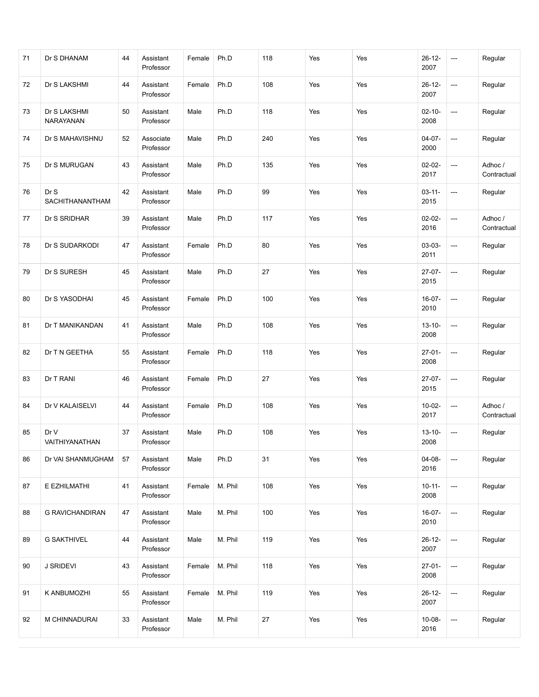| 71 | Dr S DHANAM               | 44 | Assistant<br>Professor | Female | Ph.D    | 118    | Yes | Yes | $26 - 12 -$<br>2007 | $\overline{\phantom{a}}$ | Regular                |  |
|----|---------------------------|----|------------------------|--------|---------|--------|-----|-----|---------------------|--------------------------|------------------------|--|
| 72 | Dr S LAKSHMI              | 44 | Assistant<br>Professor | Female | Ph.D    | 108    | Yes | Yes | $26 - 12 -$<br>2007 | $\hspace{0.05cm} \ldots$ | Regular                |  |
| 73 | Dr S LAKSHMI<br>NARAYANAN | 50 | Assistant<br>Professor | Male   | Ph.D    | 118    | Yes | Yes | $02 - 10 -$<br>2008 | ---                      | Regular                |  |
| 74 | Dr S MAHAVISHNU           | 52 | Associate<br>Professor | Male   | Ph.D    | 240    | Yes | Yes | $04-07-$<br>2000    | $\overline{\phantom{a}}$ | Regular                |  |
| 75 | Dr S MURUGAN              | 43 | Assistant<br>Professor | Male   | Ph.D    | 135    | Yes | Yes | $02 - 02 -$<br>2017 | $\overline{\phantom{a}}$ | Adhoc /<br>Contractual |  |
| 76 | Dr S<br>SACHITHANANTHAM   | 42 | Assistant<br>Professor | Male   | Ph.D    | 99     | Yes | Yes | $03 - 11 -$<br>2015 | $\overline{\phantom{a}}$ | Regular                |  |
| 77 | Dr S SRIDHAR              | 39 | Assistant<br>Professor | Male   | Ph.D    | 117    | Yes | Yes | $02 - 02 -$<br>2016 | $\hspace{0.05cm} \ldots$ | Adhoc /<br>Contractual |  |
| 78 | Dr S SUDARKODI            | 47 | Assistant<br>Professor | Female | Ph.D    | 80     | Yes | Yes | 03-03-<br>2011      | $\overline{\phantom{a}}$ | Regular                |  |
| 79 | Dr S SURESH               | 45 | Assistant<br>Professor | Male   | Ph.D    | 27     | Yes | Yes | $27-07-$<br>2015    | $\cdots$                 | Regular                |  |
| 80 | Dr S YASODHAI             | 45 | Assistant<br>Professor | Female | Ph.D    | 100    | Yes | Yes | $16-07-$<br>2010    | $\hspace{0.05cm} \ldots$ | Regular                |  |
| 81 | Dr T MANIKANDAN           | 41 | Assistant<br>Professor | Male   | Ph.D    | 108    | Yes | Yes | $13 - 10 -$<br>2008 | $\hspace{0.05cm} \ldots$ | Regular                |  |
| 82 | Dr T N GEETHA             | 55 | Assistant<br>Professor | Female | Ph.D    | 118    | Yes | Yes | $27-01-$<br>2008    | $\hspace{0.05cm} \ldots$ | Regular                |  |
| 83 | Dr T RANI                 | 46 | Assistant<br>Professor | Female | Ph.D    | 27     | Yes | Yes | $27-07-$<br>2015    | $\hspace{0.05cm} \ldots$ | Regular                |  |
| 84 | Dr V KALAISELVI           | 44 | Assistant<br>Professor | Female | Ph.D    | 108    | Yes | Yes | $10-02-$<br>2017    | $\overline{\phantom{a}}$ | Adhoc /<br>Contractual |  |
| 85 | Dr V<br>VAITHIYANATHAN    | 37 | Assistant<br>Professor | Male   | Ph.D    | 108    | Yes | Yes | $13 - 10 -$<br>2008 | $\overline{\phantom{a}}$ | Regular                |  |
| 86 | Dr VAI SHANMUGHAM         | 57 | Assistant<br>Professor | Male   | Ph.D    | 31     | Yes | Yes | 04-08-<br>2016      | $\overline{\phantom{a}}$ | Regular                |  |
| 87 | E EZHILMATHI              | 41 | Assistant<br>Professor | Female | M. Phil | 108    | Yes | Yes | $10 - 11 -$<br>2008 | $\overline{\phantom{a}}$ | Regular                |  |
| 88 | <b>G RAVICHANDIRAN</b>    | 47 | Assistant<br>Professor | Male   | M. Phil | 100    | Yes | Yes | 16-07-<br>2010      | $\overline{\phantom{a}}$ | Regular                |  |
| 89 | <b>G SAKTHIVEL</b>        | 44 | Assistant<br>Professor | Male   | M. Phil | 119    | Yes | Yes | $26 - 12 -$<br>2007 | $\overline{\phantom{a}}$ | Regular                |  |
| 90 | <b>J SRIDEVI</b>          | 43 | Assistant<br>Professor | Female | M. Phil | 118    | Yes | Yes | $27-01-$<br>2008    | $\hspace{0.05cm} \ldots$ | Regular                |  |
| 91 | K ANBUMOZHI               | 55 | Assistant<br>Professor | Female | M. Phil | 119    | Yes | Yes | $26 - 12 -$<br>2007 | $\hspace{0.05cm} \ldots$ | Regular                |  |
| 92 | M CHINNADURAI             | 33 | Assistant<br>Professor | Male   | M. Phil | $27\,$ | Yes | Yes | $10-08-$<br>2016    | $\hspace{0.05cm} \ldots$ | Regular                |  |